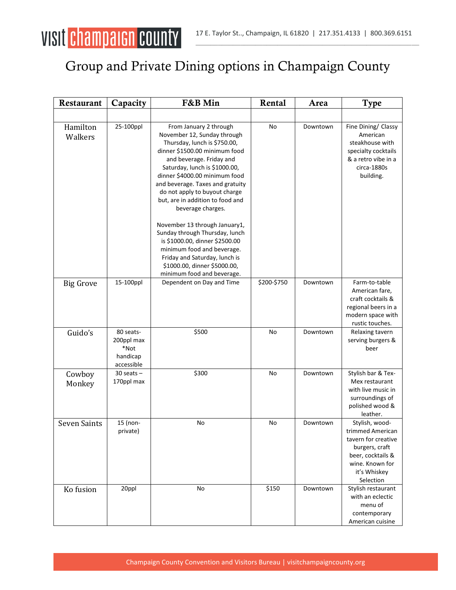

## Group and Private Dining options in Champaign County

| Restaurant          | Capacity                                                  | F&B Min                                                                                                                                                                                                                                                                                                                                            | Rental      | Area     | <b>Type</b>                                                                                                                                      |
|---------------------|-----------------------------------------------------------|----------------------------------------------------------------------------------------------------------------------------------------------------------------------------------------------------------------------------------------------------------------------------------------------------------------------------------------------------|-------------|----------|--------------------------------------------------------------------------------------------------------------------------------------------------|
|                     |                                                           |                                                                                                                                                                                                                                                                                                                                                    |             |          |                                                                                                                                                  |
| Hamilton<br>Walkers | 25-100ppl                                                 | From January 2 through<br>November 12, Sunday through<br>Thursday, lunch is \$750.00,<br>dinner \$1500.00 minimum food<br>and beverage. Friday and<br>Saturday, lunch is \$1000.00,<br>dinner \$4000.00 minimum food<br>and beverage. Taxes and gratuity<br>do not apply to buyout charge<br>but, are in addition to food and<br>beverage charges. | No          | Downtown | Fine Dining/ Classy<br>American<br>steakhouse with<br>specialty cocktails<br>& a retro vibe in a<br>circa-1880s<br>building.                     |
|                     |                                                           | November 13 through January1,<br>Sunday through Thursday, lunch<br>is \$1000.00, dinner \$2500.00<br>minimum food and beverage.<br>Friday and Saturday, lunch is<br>\$1000.00, dinner \$5000.00,<br>minimum food and beverage.                                                                                                                     |             |          |                                                                                                                                                  |
| <b>Big Grove</b>    | 15-100ppl                                                 | Dependent on Day and Time                                                                                                                                                                                                                                                                                                                          | \$200-\$750 | Downtown | Farm-to-table<br>American fare,<br>craft cocktails &<br>regional beers in a<br>modern space with<br>rustic touches.                              |
| Guido's             | 80 seats-<br>200ppl max<br>*Not<br>handicap<br>accessible | \$500                                                                                                                                                                                                                                                                                                                                              | No          | Downtown | Relaxing tavern<br>serving burgers &<br>beer                                                                                                     |
| Cowboy<br>Monkey    | $30$ seats $-$<br>170ppl max                              | \$300                                                                                                                                                                                                                                                                                                                                              | No          | Downtown | Stylish bar & Tex-<br>Mex restaurant<br>with live music in<br>surroundings of<br>polished wood &<br>leather.                                     |
| <b>Seven Saints</b> | 15 (non-<br>private)                                      | No                                                                                                                                                                                                                                                                                                                                                 | No          | Downtown | Stylish, wood-<br>trimmed American<br>tavern for creative<br>burgers, craft<br>beer, cocktails &<br>wine. Known for<br>it's Whiskey<br>Selection |
| Ko fusion           | 20ppl                                                     | No                                                                                                                                                                                                                                                                                                                                                 | \$150       | Downtown | Stylish restaurant<br>with an eclectic<br>menu of<br>contemporary<br>American cuisine                                                            |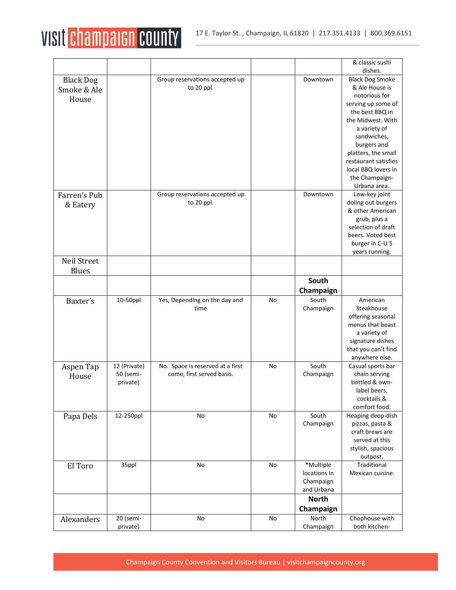

|                  |                       |                                  |    |                           | & classic sushi                             |
|------------------|-----------------------|----------------------------------|----|---------------------------|---------------------------------------------|
|                  |                       |                                  |    |                           | dishes.                                     |
| <b>Black Dog</b> |                       | Group reservations accepted up   |    | Downtown                  | <b>Black Dog Smoke</b>                      |
| Smoke & Ale      |                       | to 20 ppl.                       |    |                           | & Ale House is                              |
| House            |                       |                                  |    |                           | notorious for                               |
|                  |                       |                                  |    |                           | serving up some of                          |
|                  |                       |                                  |    |                           | the best BBQ in                             |
|                  |                       |                                  |    |                           | the Midwest. With                           |
|                  |                       |                                  |    |                           | a variety of                                |
|                  |                       |                                  |    |                           | sandwiches,                                 |
|                  |                       |                                  |    |                           | burgers and                                 |
|                  |                       |                                  |    |                           | platters, the small<br>restaurant satisfies |
|                  |                       |                                  |    |                           | local BBQ lovers in                         |
|                  |                       |                                  |    |                           | the Champaign-                              |
|                  |                       |                                  |    |                           | Urbana area.                                |
| Farren's Pub     |                       | Group reservations accepted up   |    | Downtown                  | Low-key joint                               |
|                  |                       | to 20 ppl.                       |    |                           | doling out burgers                          |
| & Eatery         |                       |                                  |    |                           | & other American                            |
|                  |                       |                                  |    |                           | grub, plus a                                |
|                  |                       |                                  |    |                           | selection of draft                          |
|                  |                       |                                  |    |                           | beers. Voted best                           |
|                  |                       |                                  |    |                           | burger in C-U 5                             |
|                  |                       |                                  |    |                           | years running.                              |
| Neil Street      |                       |                                  |    |                           |                                             |
| <b>Blues</b>     |                       |                                  |    |                           |                                             |
|                  |                       |                                  |    | South                     |                                             |
|                  |                       |                                  |    | Champaign                 |                                             |
| Baxter's         | 10-50ppl              | Yes, Depending on the day and    | No | South                     | American                                    |
|                  |                       | time                             |    | Champaign                 | Steakhouse                                  |
|                  |                       |                                  |    |                           | offering seasonal                           |
|                  |                       |                                  |    |                           | menus that boast                            |
|                  |                       |                                  |    |                           | a variety of                                |
|                  |                       |                                  |    |                           | signature dishes                            |
|                  |                       |                                  |    |                           | that you can't find                         |
|                  |                       |                                  |    |                           | anywhere else.                              |
| Aspen Tap        | 12 (Private)          | No. Space is reserved at a first | No | South                     | Casual sports bar                           |
| House            | 50 (semi-             |                                  |    |                           |                                             |
|                  |                       | come, first served basis.        |    | Champaign                 | chain serving                               |
|                  | private)              |                                  |    |                           | bottled & own-                              |
|                  |                       |                                  |    |                           | label beers,                                |
|                  |                       |                                  |    |                           | cocktails &                                 |
|                  |                       |                                  |    |                           | comfort food.                               |
| Papa Dels        | 12-250ppl             | No                               | No | South                     | Heaping deep-dish                           |
|                  |                       |                                  |    | Champaign                 | pizzas, pasta &                             |
|                  |                       |                                  |    |                           | craft brews are                             |
|                  |                       |                                  |    |                           | served at this                              |
|                  |                       |                                  |    |                           | stylish, spacious                           |
|                  |                       | No                               |    |                           | outpost.                                    |
| El Toro          | 35ppl                 |                                  | No | *Multiple<br>locations in | Traditional                                 |
|                  |                       |                                  |    |                           | Mexican cuisine.                            |
|                  |                       |                                  |    | Champaign<br>and Urbana   |                                             |
|                  |                       |                                  |    | <b>North</b>              |                                             |
|                  |                       |                                  |    | Champaign                 |                                             |
| Alexanders       | 20 (semi-<br>private) | No                               | No | North<br>Champaign        | Chophouse with<br>both kitchen-             |